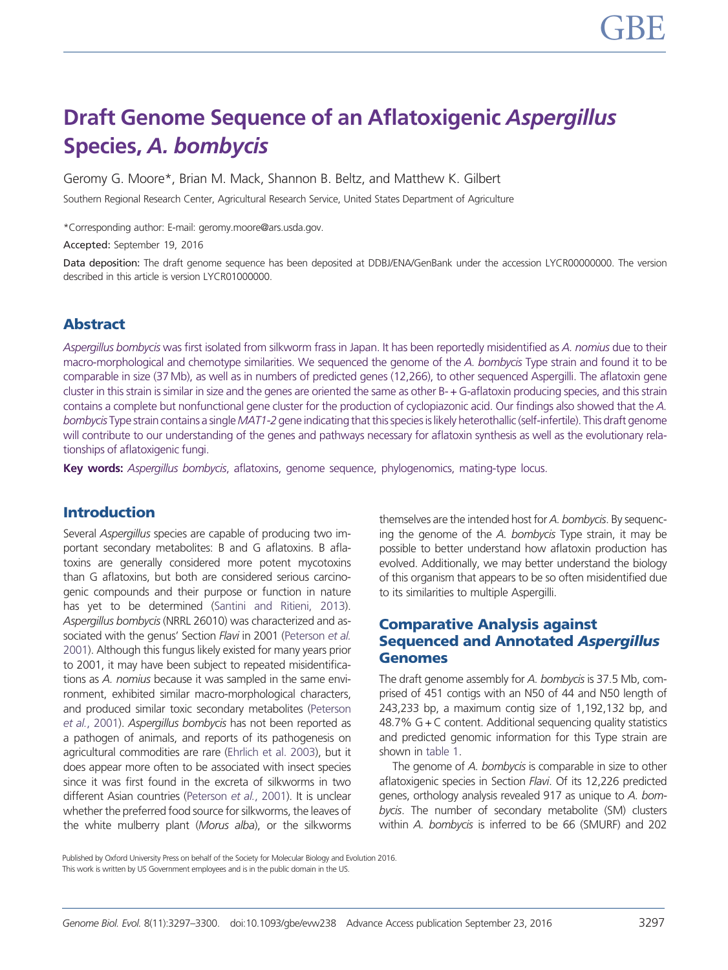# Draft Genome Sequence of an Aflatoxigenic Aspergillus Species, A. bombycis

Geromy G. Moore\*, Brian M. Mack, Shannon B. Beltz, and Matthew K. Gilbert

Southern Regional Research Center, Agricultural Research Service, United States Department of Agriculture

\*Corresponding author: E-mail: geromy.moore@ars.usda.gov.

Accepted: September 19, 2016

Data deposition: The draft genome sequence has been deposited at DDBJ/ENA/GenBank under the accession LYCR00000000. The version described in this article is version LYCR01000000.

# Abstract

Aspergillus bombycis was first isolated from silkworm frass in Japan. It has been reportedly misidentified as A. nomius due to their macro-morphological and chemotype similarities. We sequenced the genome of the A. bombycis Type strain and found it to be comparable in size (37 Mb), as well as in numbers of predicted genes (12,266), to other sequenced Aspergilli. The aflatoxin gene cluster in this strain is similar in size and the genes are oriented the same as other B- + G-aflatoxin producing species, and this strain contains a complete but nonfunctional gene cluster for the production of cyclopiazonic acid. Our findings also showed that the A. bombycis Type strain contains a single MAT1-2 gene indicating that this species is likely heterothallic (self-infertile). This draft genome will contribute to our understanding of the genes and pathways necessary for aflatoxin synthesis as well as the evolutionary relationships of aflatoxigenic fungi.

Key words: Aspergillus bombycis, aflatoxins, genome sequence, phylogenomics, mating-type locus.

# Introduction

Several Aspergillus species are capable of producing two important secondary metabolites: B and G aflatoxins. B aflatoxins are generally considered more potent mycotoxins than G aflatoxins, but both are considered serious carcinogenic compounds and their purpose or function in nature has yet to be determined [\(Santini and Ritieni, 2013](#page-3-0)). Aspergillus bombycis (NRRL 26010) was characterized and as-sociated with the genus' Section Flavi in 2001 ([Peterson](#page-3-0) et al. [2001\)](#page-3-0). Although this fungus likely existed for many years prior to 2001, it may have been subject to repeated misidentifications as A. nomius because it was sampled in the same environment, exhibited similar macro-morphological characters, and produced similar toxic secondary metabolites [\(Peterson](#page-3-0) et al.[, 2001\)](#page-3-0). Aspergillus bombycis has not been reported as a pathogen of animals, and reports of its pathogenesis on agricultural commodities are rare [\(Ehrlich et al. 2003\)](#page-3-0), but it does appear more often to be associated with insect species since it was first found in the excreta of silkworms in two different Asian countries ([Peterson](#page-3-0) et al., 2001). It is unclear whether the preferred food source for silkworms, the leaves of the white mulberry plant (Morus alba), or the silkworms

themselves are the intended host for A. bombycis. By sequencing the genome of the A. bombycis Type strain, it may be possible to better understand how aflatoxin production has evolved. Additionally, we may better understand the biology of this organism that appears to be so often misidentified due to its similarities to multiple Aspergilli.

# Comparative Analysis against Sequenced and Annotated Aspergillus Genomes

The draft genome assembly for A. bombycis is 37.5 Mb, comprised of 451 contigs with an N50 of 44 and N50 length of 243,233 bp, a maximum contig size of 1,192,132 bp, and 48.7%  $G + C$  content. Additional sequencing quality statistics and predicted genomic information for this Type strain are shown in [table 1](#page-1-0).

The genome of A. bombycis is comparable in size to other aflatoxigenic species in Section Flavi. Of its 12,226 predicted genes, orthology analysis revealed 917 as unique to A. bombycis. The number of secondary metabolite (SM) clusters within A. bombycis is inferred to be 66 (SMURF) and 202

Published by Oxford University Press on behalf of the Society for Molecular Biology and Evolution 2016.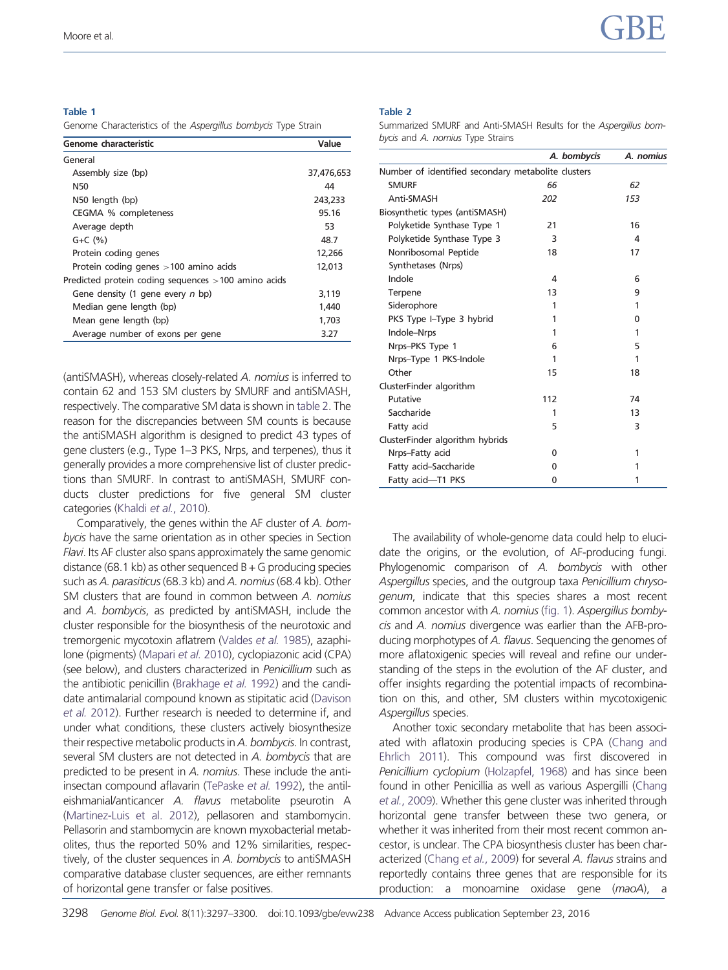#### <span id="page-1-0"></span>Table 1

Genome Characteristics of the Aspergillus bombycis Type Strain

| Genome characteristic                               | Value      |
|-----------------------------------------------------|------------|
| General                                             |            |
| Assembly size (bp)                                  | 37,476,653 |
| N50                                                 | 44         |
| N50 length (bp)                                     | 243,233    |
| CEGMA % completeness                                | 95.16      |
| Average depth                                       | 53         |
| $G + C$ $(\%)$                                      | 48.7       |
| Protein coding genes                                | 12,266     |
| Protein coding genes $>100$ amino acids             | 12,013     |
| Predicted protein coding sequences >100 amino acids |            |
| Gene density (1 gene every n bp)                    | 3,119      |
| Median gene length (bp)                             | 1.440      |
| Mean gene length (bp)                               | 1,703      |
| Average number of exons per gene                    | 3.27       |

(antiSMASH), whereas closely-related A. nomius is inferred to contain 62 and 153 SM clusters by SMURF and antiSMASH, respectively. The comparative SM data is shown in table 2. The reason for the discrepancies between SM counts is because the antiSMASH algorithm is designed to predict 43 types of gene clusters (e.g., Type 1–3 PKS, Nrps, and terpenes), thus it generally provides a more comprehensive list of cluster predictions than SMURF. In contrast to antiSMASH, SMURF conducts cluster predictions for five general SM cluster categories (Khaldi et al.[, 2010](#page-3-0)).

Comparatively, the genes within the AF cluster of A. bombycis have the same orientation as in other species in Section Flavi. Its AF cluster also spans approximately the same genomic distance (68.1 kb) as other sequenced  $B + G$  producing species such as A. parasiticus (68.3 kb) and A. nomius (68.4 kb). Other SM clusters that are found in common between A. nomius and A. bombycis, as predicted by antiSMASH, include the cluster responsible for the biosynthesis of the neurotoxic and tremorgenic mycotoxin aflatrem [\(Valdes](#page-3-0) et al. 1985), azaphilone (pigments) [\(Mapari](#page-3-0) et al. 2010), cyclopiazonic acid (CPA) (see below), and clusters characterized in Penicillium such as the antibiotic penicillin [\(Brakhage](#page-3-0) et al. 1992) and the candidate antimalarial compound known as stipitatic acid [\(Davison](#page-3-0) et al. [2012](#page-3-0)). Further research is needed to determine if, and under what conditions, these clusters actively biosynthesize their respective metabolic products in A. bombycis. In contrast, several SM clusters are not detected in A. bombycis that are predicted to be present in A. nomius. These include the antiinsectan compound aflavarin [\(TePaske](#page-3-0) et al. 1992), the antileishmanial/anticancer A. flavus metabolite pseurotin A [\(Martinez-Luis et al. 2012\)](#page-3-0), pellasoren and stambomycin. Pellasorin and stambomycin are known myxobacterial metabolites, thus the reported 50% and 12% similarities, respectively, of the cluster sequences in A. bombycis to antiSMASH comparative database cluster sequences, are either remnants of horizontal gene transfer or false positives.

#### Table 2

Summarized SMURF and Anti-SMASH Results for the Aspergillus bombycis and A. nomius Type Strains

|                                                    | A. bombycis | A. nomius |
|----------------------------------------------------|-------------|-----------|
| Number of identified secondary metabolite clusters |             |           |
| <b>SMURF</b>                                       | 66          | 62        |
| Anti-SMASH                                         | 202         | 153       |
| Biosynthetic types (antiSMASH)                     |             |           |
| Polyketide Synthase Type 1                         | 21          | 16        |
| Polyketide Synthase Type 3                         | 3           | 4         |
| Nonribosomal Peptide                               | 18          | 17        |
| Synthetases (Nrps)                                 |             |           |
| Indole                                             | 4           | 6         |
| Terpene                                            | 13          | 9         |
| Siderophore                                        | 1           | 1         |
| PKS Type I-Type 3 hybrid                           | 1           | 0         |
| Indole-Nrps                                        | 1           | 1         |
| Nrps-PKS Type 1                                    | 6           | 5         |
| Nrps-Type 1 PKS-Indole                             | 1           | 1         |
| Other                                              | 15          | 18        |
| ClusterFinder algorithm                            |             |           |
| Putative                                           | 112         | 74        |
| Saccharide                                         | 1           | 13        |
| Fatty acid                                         | 5           | 3         |
| ClusterFinder algorithm hybrids                    |             |           |
| Nrps-Fatty acid                                    | 0           | 1         |
| Fatty acid-Saccharide                              | 0           | 1         |
| Fatty acid-T1 PKS                                  | 0           | 1         |

The availability of whole-genome data could help to elucidate the origins, or the evolution, of AF-producing fungi. Phylogenomic comparison of A. bombycis with other Aspergillus species, and the outgroup taxa Penicillium chrysogenum, indicate that this species shares a most recent common ancestor with A. nomius [\(fig. 1](#page-2-0)). Aspergillus bombycis and A. nomius divergence was earlier than the AFB-producing morphotypes of A. flavus. Sequencing the genomes of more aflatoxigenic species will reveal and refine our understanding of the steps in the evolution of the AF cluster, and offer insights regarding the potential impacts of recombination on this, and other, SM clusters within mycotoxigenic Aspergillus species.

Another toxic secondary metabolite that has been associated with aflatoxin producing species is CPA ([Chang and](#page-3-0) [Ehrlich 2011](#page-3-0)). This compound was first discovered in Penicillium cyclopium [\(Holzapfel, 1968\)](#page-3-0) and has since been found in other Penicillia as well as various Aspergilli [\(Chang](#page-3-0) et al.[, 2009\)](#page-3-0). Whether this gene cluster was inherited through horizontal gene transfer between these two genera, or whether it was inherited from their most recent common ancestor, is unclear. The CPA biosynthesis cluster has been char-acterized [\(Chang](#page-3-0) et al., 2009) for several A. flavus strains and reportedly contains three genes that are responsible for its production: a monoamine oxidase gene (maoA), a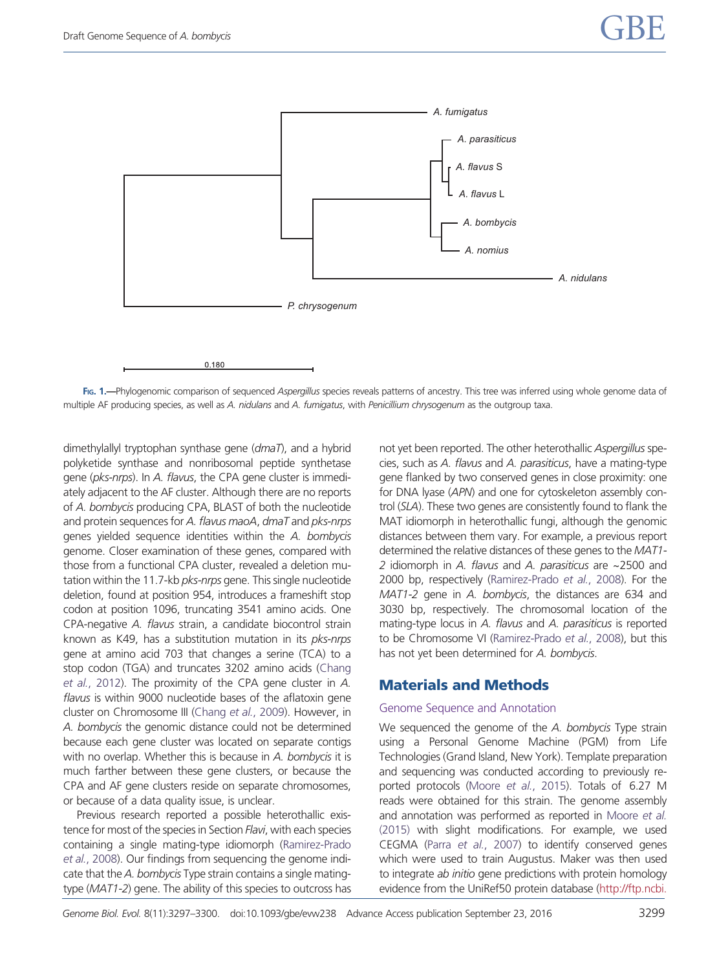<span id="page-2-0"></span>

FIG. 1.—Phylogenomic comparison of sequenced Aspergillus species reveals patterns of ancestry. This tree was inferred using whole genome data of multiple AF producing species, as well as A. nidulans and A. fumigatus, with Penicillium chrysogenum as the outgroup taxa.

dimethylallyl tryptophan synthase gene (dmaT), and a hybrid polyketide synthase and nonribosomal peptide synthetase gene (pks-nrps). In A. flavus, the CPA gene cluster is immediately adjacent to the AF cluster. Although there are no reports of A. bombycis producing CPA, BLAST of both the nucleotide and protein sequences for A. flavus maoA, dmaT and pks-nrps genes yielded sequence identities within the A. bombycis genome. Closer examination of these genes, compared with those from a functional CPA cluster, revealed a deletion mutation within the 11.7-kb *pks-nrps* gene. This single nucleotide deletion, found at position 954, introduces a frameshift stop codon at position 1096, truncating 3541 amino acids. One CPA-negative A. flavus strain, a candidate biocontrol strain known as K49, has a substitution mutation in its pks-nrps gene at amino acid 703 that changes a serine (TCA) to a stop codon (TGA) and truncates 3202 amino acids ([Chang](#page-3-0) et al.[, 2012\)](#page-3-0). The proximity of the CPA gene cluster in A. flavus is within 9000 nucleotide bases of the aflatoxin gene cluster on Chromosome III [\(Chang](#page-3-0) et al., 2009). However, in A. bombycis the genomic distance could not be determined because each gene cluster was located on separate contigs with no overlap. Whether this is because in A. bombycis it is much farther between these gene clusters, or because the CPA and AF gene clusters reside on separate chromosomes, or because of a data quality issue, is unclear.

Previous research reported a possible heterothallic existence for most of the species in Section Flavi, with each species containing a single mating-type idiomorph ([Ramirez-Prado](#page-3-0) et al.[, 2008\)](#page-3-0). Our findings from sequencing the genome indicate that the A. bombycis Type strain contains a single matingtype (MAT1-2) gene. The ability of this species to outcross has not yet been reported. The other heterothallic Aspergillus species, such as A. flavus and A. parasiticus, have a mating-type gene flanked by two conserved genes in close proximity: one for DNA lyase (APN) and one for cytoskeleton assembly control (SLA). These two genes are consistently found to flank the MAT idiomorph in heterothallic fungi, although the genomic distances between them vary. For example, a previous report determined the relative distances of these genes to the MAT1- 2 idiomorph in A. flavus and A. parasiticus are ~2500 and 2000 bp, respectively [\(Ramirez-Prado](#page-3-0) et al., 2008). For the MAT1-2 gene in A. bombycis, the distances are 634 and 3030 bp, respectively. The chromosomal location of the mating-type locus in A. flavus and A. parasiticus is reported to be Chromosome VI ([Ramirez-Prado](#page-3-0) et al., 2008), but this has not yet been determined for A. bombycis.

# Materials and Methods

## Genome Sequence and Annotation

We sequenced the genome of the A. bombycis Type strain using a Personal Genome Machine (PGM) from Life Technologies (Grand Island, New York). Template preparation and sequencing was conducted according to previously reported protocols (Moore et al.[, 2015](#page-3-0)). Totals of 6.27 M reads were obtained for this strain. The genome assembly and annotation was performed as reported in [Moore](#page-3-0) et al. [\(2015\)](#page-3-0) with slight modifications. For example, we used CEGMA (Parra et al.[, 2007](#page-3-0)) to identify conserved genes which were used to train Augustus. Maker was then used to integrate ab initio gene predictions with protein homology evidence from the UniRef50 protein database ([http://ftp.ncbi.](http://ftp.ncbi.nlm.nih.gov/refseq/)